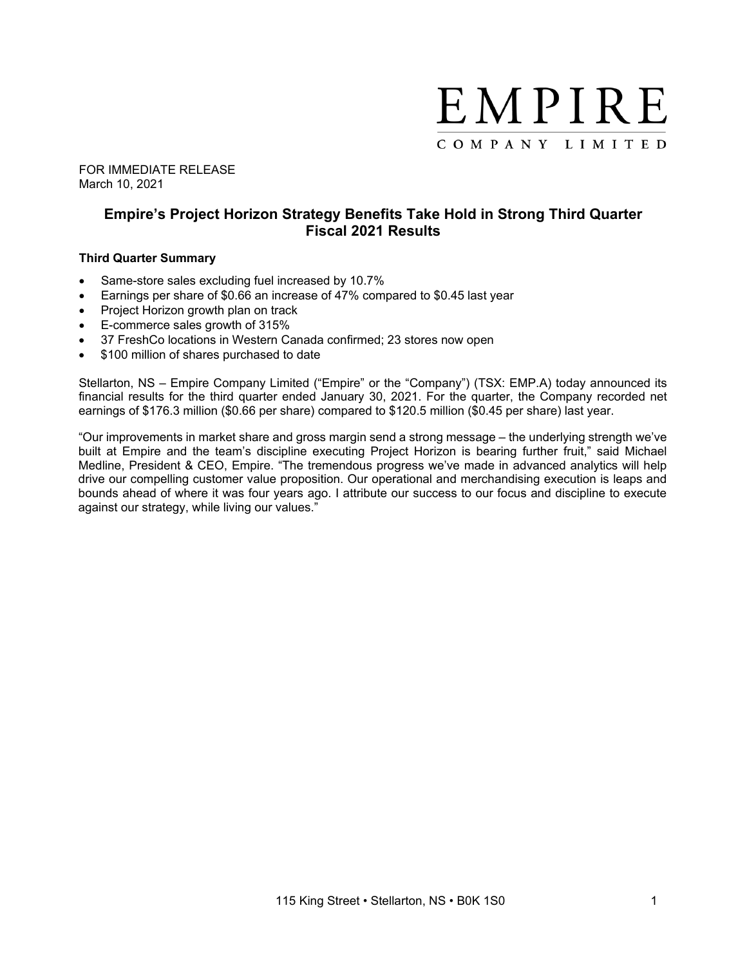

FOR IMMEDIATE RELEASE March 10, 2021

# **Empire's Project Horizon Strategy Benefits Take Hold in Strong Third Quarter Fiscal 2021 Results**

### **Third Quarter Summary**

- Same-store sales excluding fuel increased by 10.7%
- Earnings per share of \$0.66 an increase of 47% compared to \$0.45 last year
- Project Horizon growth plan on track
- E-commerce sales growth of 315%
- 37 FreshCo locations in Western Canada confirmed; 23 stores now open
- \$100 million of shares purchased to date

Stellarton, NS – Empire Company Limited ("Empire" or the "Company") (TSX: EMP.A) today announced its financial results for the third quarter ended January 30, 2021. For the quarter, the Company recorded net earnings of \$176.3 million (\$0.66 per share) compared to \$120.5 million (\$0.45 per share) last year.

"Our improvements in market share and gross margin send a strong message – the underlying strength we've built at Empire and the team's discipline executing Project Horizon is bearing further fruit," said Michael Medline, President & CEO, Empire. "The tremendous progress we've made in advanced analytics will help drive our compelling customer value proposition. Our operational and merchandising execution is leaps and bounds ahead of where it was four years ago. I attribute our success to our focus and discipline to execute against our strategy, while living our values."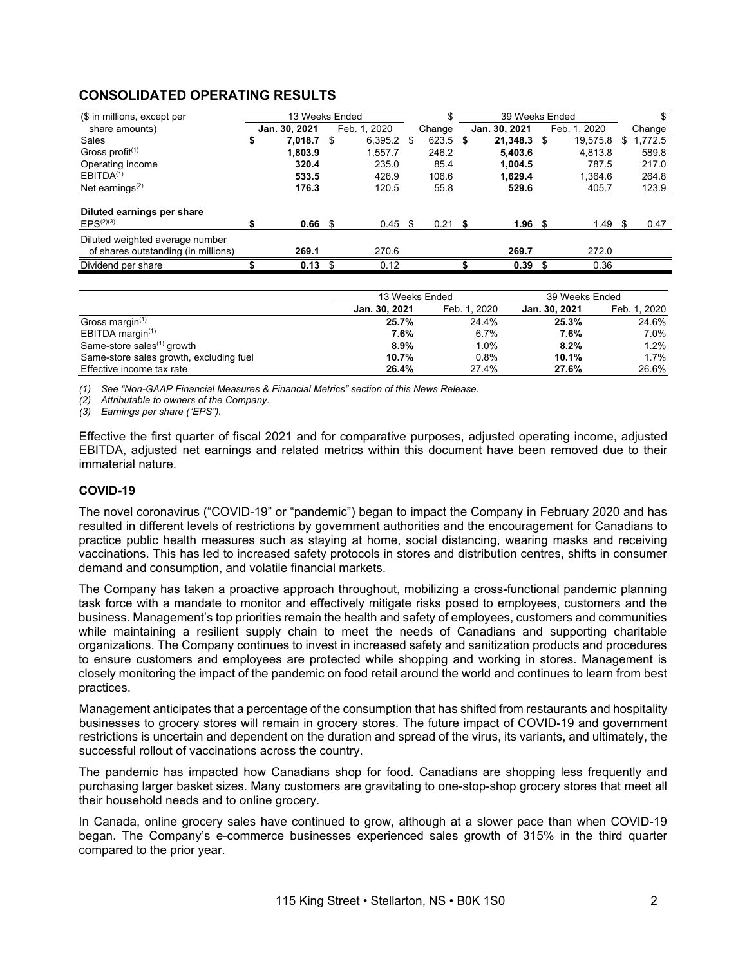# **CONSOLIDATED OPERATING RESULTS**

| (\$ in millions, except per         | 13 Weeks Ended    |    |              |      | \$     |      | 39 Weeks Ended |      |              |        |         |
|-------------------------------------|-------------------|----|--------------|------|--------|------|----------------|------|--------------|--------|---------|
| share amounts)                      | Jan. 30, 2021     |    | Feb. 1, 2020 |      | Change |      | Jan. 30, 2021  |      | Feb. 1. 2020 | Change |         |
| Sales                               | \$<br>7.018.7     | \$ | 6.395.2      | - \$ | 623.5  | - \$ | 21,348.3       | - \$ | 19,575.8     |        | 1,772.5 |
| Gross profit $(1)$                  | 1.803.9           |    | 1.557.7      |      | 246.2  |      | 5.403.6        |      | 4.813.8      |        | 589.8   |
| Operating income                    | 320.4             |    | 235.0        |      | 85.4   |      | 1.004.5        |      | 787.5        |        | 217.0   |
| EBITDA <sup>(1)</sup>               | 533.5             |    | 426.9        |      | 106.6  |      | 1.629.4        |      | 1.364.6      |        | 264.8   |
| Net earnings $(2)$                  | 176.3             |    | 120.5        |      | 55.8   |      | 529.6          |      | 405.7        |        | 123.9   |
|                                     |                   |    |              |      |        |      |                |      |              |        |         |
| Diluted earnings per share          |                   |    |              |      |        |      |                |      |              |        |         |
| $EPS^{(2)(3)}$                      | 0.66 <sup>5</sup> |    | 0.45         | \$   | 0.21   |      | 1.96           | -\$  | 1.49         |        | 0.47    |
| Diluted weighted average number     |                   |    |              |      |        |      |                |      |              |        |         |
| of shares outstanding (in millions) | 269.1             |    | 270.6        |      |        |      | 269.7          |      | 272.0        |        |         |
| Dividend per share                  | $0.13$ \$         |    | 0.12         |      |        |      | 0.39           |      | 0.36         |        |         |

|                                         | 13 Weeks Ended |              | 39 Weeks Ended |              |
|-----------------------------------------|----------------|--------------|----------------|--------------|
|                                         | Jan. 30, 2021  | Feb. 1, 2020 | Jan. 30, 2021  | Feb. 1, 2020 |
| Gross margin $(1)$                      | 25.7%          | 24.4%        | 25.3%          | 24.6%        |
| EBITDA margin $(1)$                     | 7.6%           | 6.7%         | 7.6%           | 7.0%         |
| Same-store sales $(1)$ growth           | 8.9%           | 1.0%         | 8.2%           | $1.2\%$      |
| Same-store sales growth, excluding fuel | 10.7%          | 0.8%         | 10.1%          | 1.7%         |
| Effective income tax rate               | 26.4%          | 27.4%        | 27.6%          | 26.6%        |

*(1) See "Non-GAAP Financial Measures & Financial Metrics" section of this News Release.*

*(2) Attributable to owners of the Company.*

*(3) Earnings per share ("EPS").*

Effective the first quarter of fiscal 2021 and for comparative purposes, adjusted operating income, adjusted EBITDA, adjusted net earnings and related metrics within this document have been removed due to their immaterial nature.

## **COVID-19**

The novel coronavirus ("COVID-19" or "pandemic") began to impact the Company in February 2020 and has resulted in different levels of restrictions by government authorities and the encouragement for Canadians to practice public health measures such as staying at home, social distancing, wearing masks and receiving vaccinations. This has led to increased safety protocols in stores and distribution centres, shifts in consumer demand and consumption, and volatile financial markets.

The Company has taken a proactive approach throughout, mobilizing a cross-functional pandemic planning task force with a mandate to monitor and effectively mitigate risks posed to employees, customers and the business. Management's top priorities remain the health and safety of employees, customers and communities while maintaining a resilient supply chain to meet the needs of Canadians and supporting charitable organizations. The Company continues to invest in increased safety and sanitization products and procedures to ensure customers and employees are protected while shopping and working in stores. Management is closely monitoring the impact of the pandemic on food retail around the world and continues to learn from best practices.

Management anticipates that a percentage of the consumption that has shifted from restaurants and hospitality businesses to grocery stores will remain in grocery stores. The future impact of COVID-19 and government restrictions is uncertain and dependent on the duration and spread of the virus, its variants, and ultimately, the successful rollout of vaccinations across the country.

The pandemic has impacted how Canadians shop for food. Canadians are shopping less frequently and purchasing larger basket sizes. Many customers are gravitating to one-stop-shop grocery stores that meet all their household needs and to online grocery.

In Canada, online grocery sales have continued to grow, although at a slower pace than when COVID-19 began. The Company's e-commerce businesses experienced sales growth of 315% in the third quarter compared to the prior year.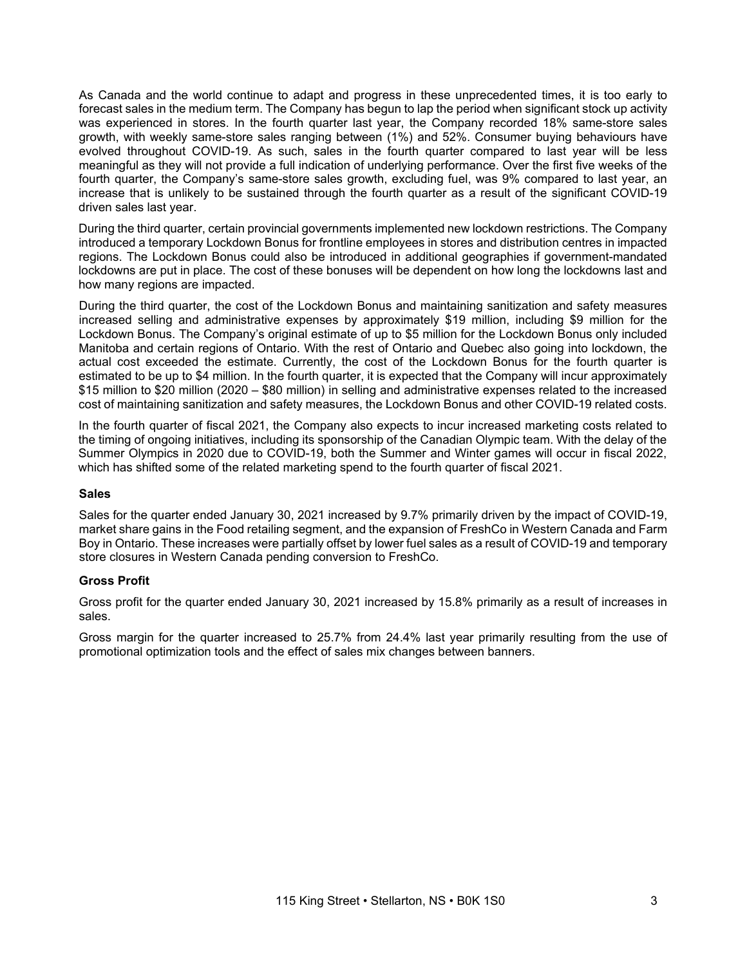As Canada and the world continue to adapt and progress in these unprecedented times, it is too early to forecast sales in the medium term. The Company has begun to lap the period when significant stock up activity was experienced in stores. In the fourth quarter last year, the Company recorded 18% same-store sales growth, with weekly same-store sales ranging between (1%) and 52%. Consumer buying behaviours have evolved throughout COVID-19. As such, sales in the fourth quarter compared to last year will be less meaningful as they will not provide a full indication of underlying performance. Over the first five weeks of the fourth quarter, the Company's same-store sales growth, excluding fuel, was 9% compared to last year, an increase that is unlikely to be sustained through the fourth quarter as a result of the significant COVID-19 driven sales last year.

During the third quarter, certain provincial governments implemented new lockdown restrictions. The Company introduced a temporary Lockdown Bonus for frontline employees in stores and distribution centres in impacted regions. The Lockdown Bonus could also be introduced in additional geographies if government-mandated lockdowns are put in place. The cost of these bonuses will be dependent on how long the lockdowns last and how many regions are impacted.

During the third quarter, the cost of the Lockdown Bonus and maintaining sanitization and safety measures increased selling and administrative expenses by approximately \$19 million, including \$9 million for the Lockdown Bonus. The Company's original estimate of up to \$5 million for the Lockdown Bonus only included Manitoba and certain regions of Ontario. With the rest of Ontario and Quebec also going into lockdown, the actual cost exceeded the estimate. Currently, the cost of the Lockdown Bonus for the fourth quarter is estimated to be up to \$4 million. In the fourth quarter, it is expected that the Company will incur approximately \$15 million to \$20 million (2020 – \$80 million) in selling and administrative expenses related to the increased cost of maintaining sanitization and safety measures, the Lockdown Bonus and other COVID-19 related costs.

In the fourth quarter of fiscal 2021, the Company also expects to incur increased marketing costs related to the timing of ongoing initiatives, including its sponsorship of the Canadian Olympic team. With the delay of the Summer Olympics in 2020 due to COVID-19, both the Summer and Winter games will occur in fiscal 2022, which has shifted some of the related marketing spend to the fourth quarter of fiscal 2021.

#### **Sales**

Sales for the quarter ended January 30, 2021 increased by 9.7% primarily driven by the impact of COVID-19, market share gains in the Food retailing segment, and the expansion of FreshCo in Western Canada and Farm Boy in Ontario. These increases were partially offset by lower fuel sales as a result of COVID-19 and temporary store closures in Western Canada pending conversion to FreshCo.

# **Gross Profit**

Gross profit for the quarter ended January 30, 2021 increased by 15.8% primarily as a result of increases in sales.

Gross margin for the quarter increased to 25.7% from 24.4% last year primarily resulting from the use of promotional optimization tools and the effect of sales mix changes between banners.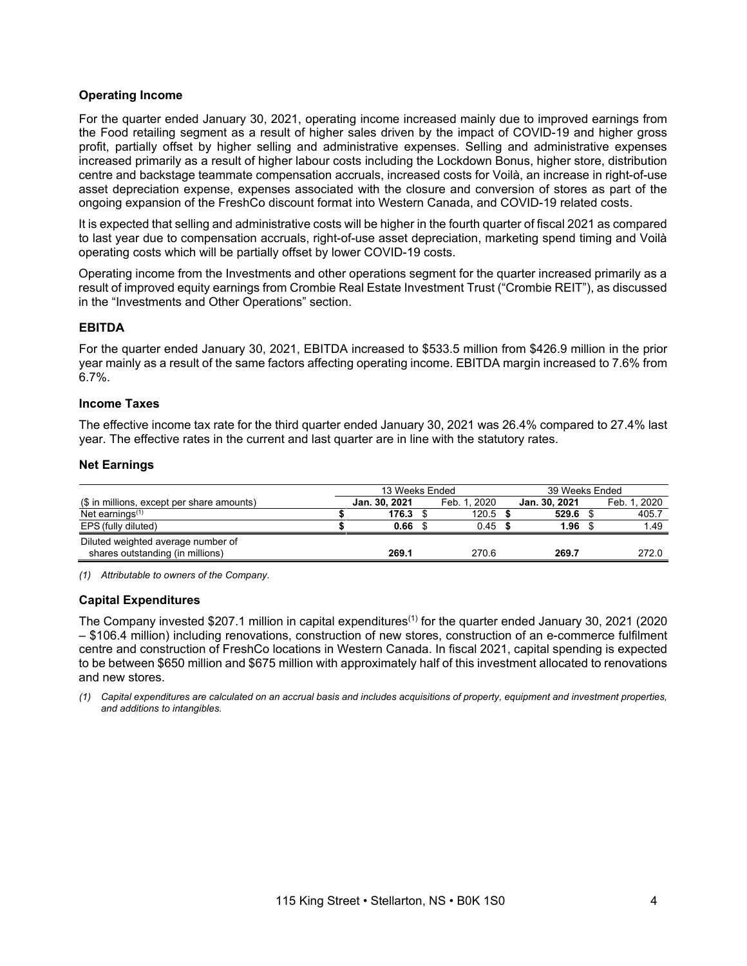### **Operating Income**

For the quarter ended January 30, 2021, operating income increased mainly due to improved earnings from the Food retailing segment as a result of higher sales driven by the impact of COVID-19 and higher gross profit, partially offset by higher selling and administrative expenses. Selling and administrative expenses increased primarily as a result of higher labour costs including the Lockdown Bonus, higher store, distribution centre and backstage teammate compensation accruals, increased costs for Voilà, an increase in right-of-use asset depreciation expense, expenses associated with the closure and conversion of stores as part of the ongoing expansion of the FreshCo discount format into Western Canada, and COVID-19 related costs.

It is expected that selling and administrative costs will be higher in the fourth quarter of fiscal 2021 as compared to last year due to compensation accruals, right-of-use asset depreciation, marketing spend timing and Voilà operating costs which will be partially offset by lower COVID-19 costs.

Operating income from the Investments and other operations segment for the quarter increased primarily as a result of improved equity earnings from Crombie Real Estate Investment Trust ("Crombie REIT"), as discussed in the "Investments and Other Operations" section.

# **EBITDA**

For the quarter ended January 30, 2021, EBITDA increased to \$533.5 million from \$426.9 million in the prior year mainly as a result of the same factors affecting operating income. EBITDA margin increased to 7.6% from 6.7%.

#### **Income Taxes**

The effective income tax rate for the third quarter ended January 30, 2021 was 26.4% compared to 27.4% last year. The effective rates in the current and last quarter are in line with the statutory rates.

#### **Net Earnings**

|                                                                        | 13 Weeks Ended |              | 39 Weeks Ended |  |              |  |  |  |
|------------------------------------------------------------------------|----------------|--------------|----------------|--|--------------|--|--|--|
| (\$ in millions, except per share amounts)                             | Jan. 30, 2021  | Feb. 1. 2020 | Jan. 30, 2021  |  | Feb. 1. 2020 |  |  |  |
| Net earnings $(1)$                                                     | 176.3          | 120.5        | 529.6          |  | 405.7        |  |  |  |
| EPS (fully diluted)                                                    | 0.66           | 0.45         | 1.96           |  | 1.49         |  |  |  |
| Diluted weighted average number of<br>shares outstanding (in millions) | 269.1          | 270.6        | 269.7          |  | 272.0        |  |  |  |

*(1) Attributable to owners of the Company.*

#### **Capital Expenditures**

The Company invested \$207.1 million in capital expenditures<sup>(1)</sup> for the quarter ended January 30, 2021 (2020 – \$106.4 million) including renovations, construction of new stores, construction of an e-commerce fulfilment centre and construction of FreshCo locations in Western Canada. In fiscal 2021, capital spending is expected to be between \$650 million and \$675 million with approximately half of this investment allocated to renovations and new stores.

(1) Capital expenditures are calculated on an accrual basis and includes acquisitions of property, equipment and investment properties, *and additions to intangibles.*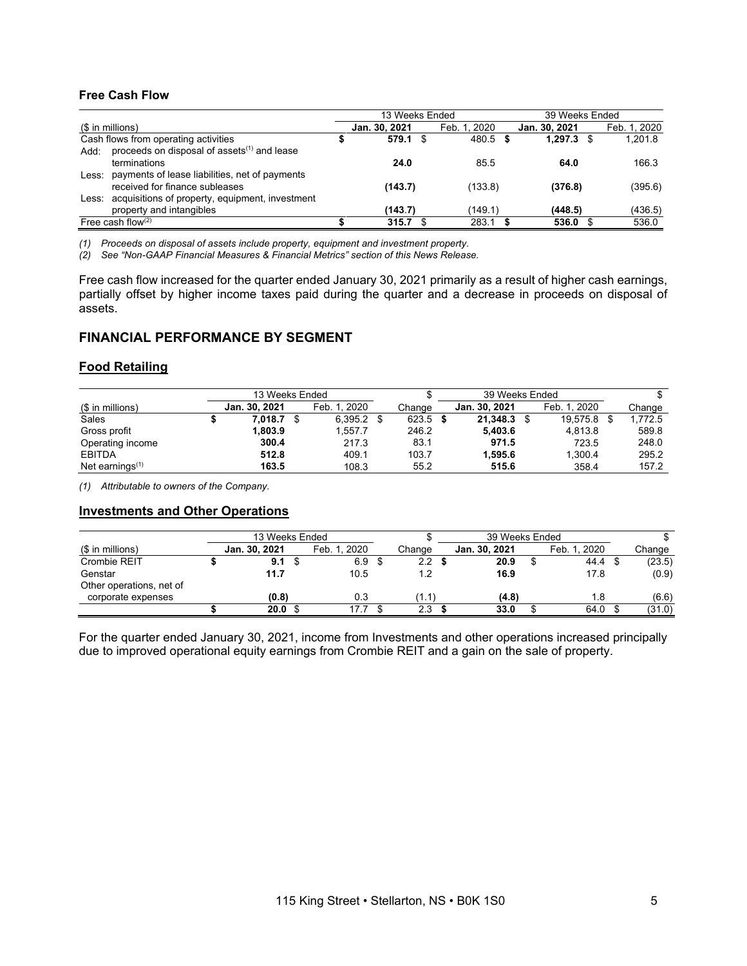# **Free Cash Flow**

|                      |                                                       | 13 Weeks Ended |    |              |  | 39 Weeks Ended |  |              |  |  |
|----------------------|-------------------------------------------------------|----------------|----|--------------|--|----------------|--|--------------|--|--|
| (\$ in millions)     |                                                       | Jan. 30, 2021  |    | Feb. 1, 2020 |  | Jan. 30, 2021  |  | Feb. 1, 2020 |  |  |
|                      | Cash flows from operating activities                  | 579.1          | \$ | 480.5 \$     |  | $1.297.3$ \$   |  | 1.201.8      |  |  |
| Add:                 | proceeds on disposal of assets $(1)$ and lease        |                |    |              |  |                |  |              |  |  |
|                      | terminations                                          | 24.0           |    | 85.5         |  | 64.0           |  | 166.3        |  |  |
|                      | Less: payments of lease liabilities, net of payments  |                |    |              |  |                |  |              |  |  |
|                      | received for finance subleases                        | (143.7)        |    | (133.8)      |  | (376.8)        |  | (395.6)      |  |  |
|                      | Less: acquisitions of property, equipment, investment |                |    |              |  |                |  |              |  |  |
|                      | property and intangibles                              | (143.7)        |    | (149.1)      |  | (448.5)        |  | (436.5)      |  |  |
| Free cash flow $(2)$ |                                                       | 315.7          |    | 283.1        |  | 536.0          |  | 536.0        |  |  |

*(1) Proceeds on disposal of assets include property, equipment and investment property.*

*(2) See "Non-GAAP Financial Measures & Financial Metrics" section of this News Release.*

Free cash flow increased for the quarter ended January 30, 2021 primarily as a result of higher cash earnings, partially offset by higher income taxes paid during the quarter and a decrease in proceeds on disposal of assets.

# **FINANCIAL PERFORMANCE BY SEGMENT**

### **Food Retailing**

|                    | 13 Weeks Ended |  |              |  |        | 39 Weeks Ended |  |              |  |         |
|--------------------|----------------|--|--------------|--|--------|----------------|--|--------------|--|---------|
| (\$ in millions)   | Jan. 30, 2021  |  | Feb. 1. 2020 |  | Change | Jan. 30, 2021  |  | Feb. 1. 2020 |  | Change  |
| Sales              | 7.018.7        |  | 6.395.2      |  | 623.5  | 21,348.3       |  | 19.575.8     |  | 1.772.5 |
| Gross profit       | 1.803.9        |  | 1.557.7      |  | 246.2  | 5.403.6        |  | 4.813.8      |  | 589.8   |
| Operating income   | 300.4          |  | 217.3        |  | 83.1   | 971.5          |  | 723.5        |  | 248.0   |
| <b>EBITDA</b>      | 512.8          |  | 409.1        |  | 103.7  | 1.595.6        |  | 1.300.4      |  | 295.2   |
| Net earnings $(1)$ | 163.5          |  | 108.3        |  | 55.2   | 515.6          |  | 358.4        |  | 157.2   |

*(1) Attributable to owners of the Company.*

#### **Investments and Other Operations**

|                          | 13 Weeks Ended |               |  |                  |        | 39 Weeks Ended |               |  |              |  |        |
|--------------------------|----------------|---------------|--|------------------|--------|----------------|---------------|--|--------------|--|--------|
| (\$ in millions)         |                | Jan. 30, 2021 |  | Feb. 1. 2020     | Change |                | Jan. 30, 2021 |  | Feb. 1. 2020 |  | Change |
| Crombie REIT             |                | 9.1           |  | 6.9 <sup>5</sup> | 2.2 S  |                | 20.9          |  | 44.4         |  | (23.5) |
| Genstar                  |                | 11.7          |  | 10.5             | 1.2    |                | 16.9          |  | 17.8         |  | (0.9)  |
| Other operations, net of |                |               |  |                  |        |                |               |  |              |  |        |
| corporate expenses       |                | (0.8)         |  | 0.3              | (1.1)  |                | (4.8)         |  | 1.8          |  | (6.6)  |
|                          |                | 20.0          |  | 17.7             | 2.3    |                | 33.0          |  | 64.0         |  | (31.0) |

For the quarter ended January 30, 2021, income from Investments and other operations increased principally due to improved operational equity earnings from Crombie REIT and a gain on the sale of property.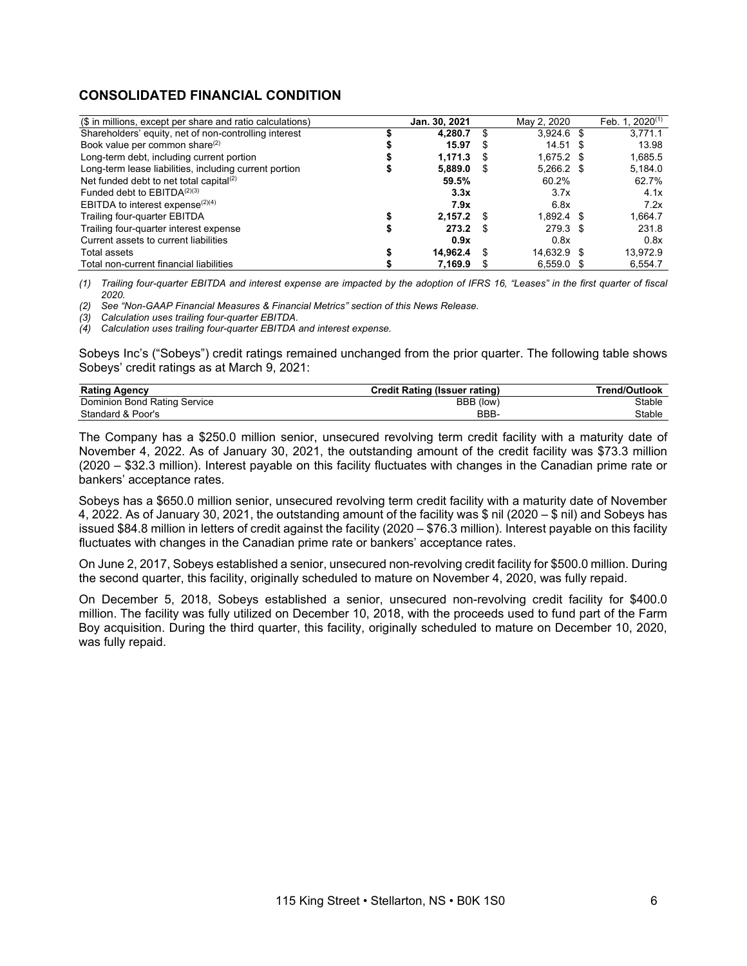# **CONSOLIDATED FINANCIAL CONDITION**

| (\$ in millions, except per share and ratio calculations) | Jan. 30, 2021 |    | May 2, 2020  | Feb. 1. $2020^{(1)}$ |
|-----------------------------------------------------------|---------------|----|--------------|----------------------|
| Shareholders' equity, net of non-controlling interest     | 4.280.7       |    | $3,924.6$ \$ | 3.771.1              |
| Book value per common share <sup>(2)</sup>                | 15.97         | S  | 14.51 \$     | 13.98                |
| Long-term debt, including current portion                 | 1.171.3       |    | $1.675.2$ \$ | 1,685.5              |
| Long-term lease liabilities, including current portion    | 5.889.0       | S. | $5,266.2$ \$ | 5,184.0              |
| Net funded debt to net total capital <sup>(2)</sup>       | 59.5%         |    | 60.2%        | 62.7%                |
| Funded debt to $EBITDA(2)(3)$                             | 3.3x          |    | 3.7x         | 4.1x                 |
| EBITDA to interest expense <sup>(2)(4)</sup>              | 7.9x          |    | 6.8x         | 7.2x                 |
| Trailing four-quarter EBITDA                              | 2,157.2       |    | $1.892.4$ \$ | 1.664.7              |
| Trailing four-quarter interest expense                    | 273.2         |    | 279.3 \$     | 231.8                |
| Current assets to current liabilities                     | 0.9x          |    | 0.8x         | 0.8x                 |
| Total assets                                              | 14.962.4      |    | 14.632.9 \$  | 13.972.9             |
| Total non-current financial liabilities                   | 7.169.9       |    | $6.559.0$ \$ | 6.554.7              |

(1) Trailing four-quarter EBITDA and interest expense are impacted by the adoption of IFRS 16, "Leases" in the first quarter of fiscal *2020.*

*(2) See "Non-GAAP Financial Measures & Financial Metrics" section of this News Release.*

*(3) Calculation uses trailing four-quarter EBITDA.*

*(4) Calculation uses trailing four-quarter EBITDA and interest expense.*

Sobeys Inc's ("Sobeys") credit ratings remained unchanged from the prior quarter. The following table shows Sobeys' credit ratings as at March 9, 2021:

| <b>Rating Agency</b>         | Credit Rating (Issuer rating) | Trend/Outlook |
|------------------------------|-------------------------------|---------------|
| Dominion Bond Rating Service | BBB (low)                     | Stable        |
| Standard & Poor's            | BBB-                          | Stable        |

The Company has a \$250.0 million senior, unsecured revolving term credit facility with a maturity date of November 4, 2022. As of January 30, 2021, the outstanding amount of the credit facility was \$73.3 million (2020 – \$32.3 million). Interest payable on this facility fluctuates with changes in the Canadian prime rate or bankers' acceptance rates.

Sobeys has a \$650.0 million senior, unsecured revolving term credit facility with a maturity date of November 4, 2022. As of January 30, 2021, the outstanding amount of the facility was \$ nil (2020 – \$ nil) and Sobeys has issued \$84.8 million in letters of credit against the facility (2020 – \$76.3 million). Interest payable on this facility fluctuates with changes in the Canadian prime rate or bankers' acceptance rates.

On June 2, 2017, Sobeys established a senior, unsecured non-revolving credit facility for \$500.0 million. During the second quarter, this facility, originally scheduled to mature on November 4, 2020, was fully repaid.

On December 5, 2018, Sobeys established a senior, unsecured non-revolving credit facility for \$400.0 million. The facility was fully utilized on December 10, 2018, with the proceeds used to fund part of the Farm Boy acquisition. During the third quarter, this facility, originally scheduled to mature on December 10, 2020, was fully repaid.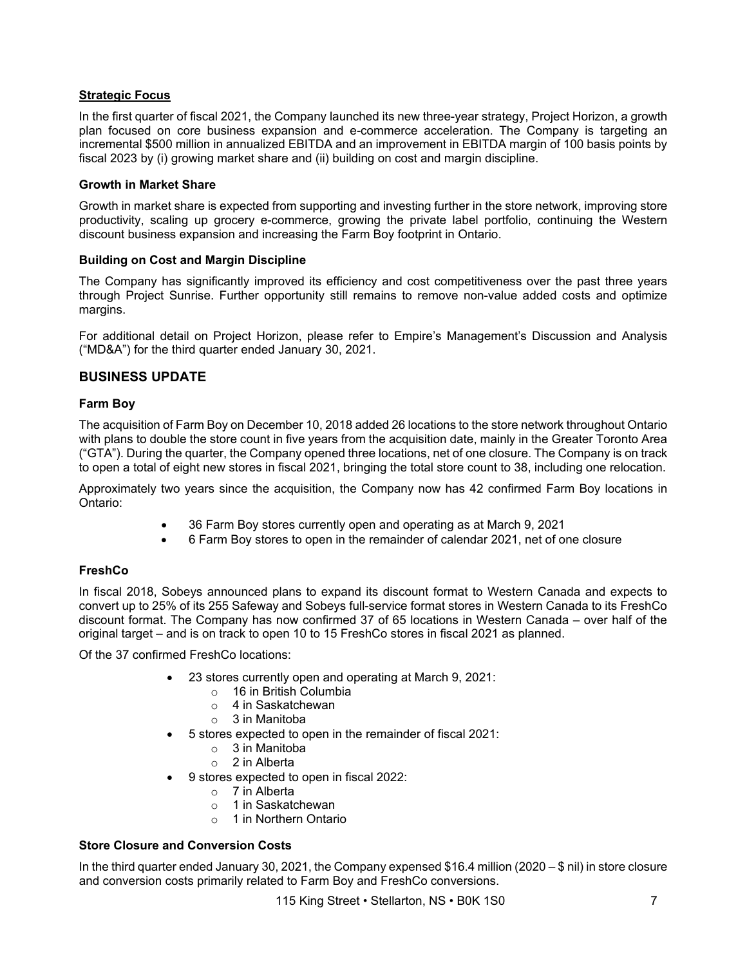# **Strategic Focus**

In the first quarter of fiscal 2021, the Company launched its new three-year strategy, Project Horizon, a growth plan focused on core business expansion and e-commerce acceleration. The Company is targeting an incremental \$500 million in annualized EBITDA and an improvement in EBITDA margin of 100 basis points by fiscal 2023 by (i) growing market share and (ii) building on cost and margin discipline.

### **Growth in Market Share**

Growth in market share is expected from supporting and investing further in the store network, improving store productivity, scaling up grocery e-commerce, growing the private label portfolio, continuing the Western discount business expansion and increasing the Farm Boy footprint in Ontario.

### **Building on Cost and Margin Discipline**

The Company has significantly improved its efficiency and cost competitiveness over the past three years through Project Sunrise. Further opportunity still remains to remove non-value added costs and optimize margins.

For additional detail on Project Horizon, please refer to Empire's Management's Discussion and Analysis ("MD&A") for the third quarter ended January 30, 2021.

# **BUSINESS UPDATE**

### **Farm Boy**

The acquisition of Farm Boy on December 10, 2018 added 26 locations to the store network throughout Ontario with plans to double the store count in five years from the acquisition date, mainly in the Greater Toronto Area ("GTA"). During the quarter, the Company opened three locations, net of one closure. The Company is on track to open a total of eight new stores in fiscal 2021, bringing the total store count to 38, including one relocation.

Approximately two years since the acquisition, the Company now has 42 confirmed Farm Boy locations in Ontario:

- 36 Farm Boy stores currently open and operating as at March 9, 2021
- 6 Farm Boy stores to open in the remainder of calendar 2021, net of one closure

# **FreshCo**

In fiscal 2018, Sobeys announced plans to expand its discount format to Western Canada and expects to convert up to 25% of its 255 Safeway and Sobeys full-service format stores in Western Canada to its FreshCo discount format. The Company has now confirmed 37 of 65 locations in Western Canada – over half of the original target – and is on track to open 10 to 15 FreshCo stores in fiscal 2021 as planned.

Of the 37 confirmed FreshCo locations:

- 23 stores currently open and operating at March 9, 2021:
	- o 16 in British Columbia
	- o 4 in Saskatchewan
	- $\circ$  3 in Manitoba
- 5 stores expected to open in the remainder of fiscal 2021:
	- o 3 in Manitoba
	- o 2 in Alberta
- 9 stores expected to open in fiscal 2022:
	- o 7 in Alberta
	- o 1 in Saskatchewan
	- o 1 in Northern Ontario

# **Store Closure and Conversion Costs**

In the third quarter ended January 30, 2021, the Company expensed \$16.4 million (2020 – \$ nil) in store closure and conversion costs primarily related to Farm Boy and FreshCo conversions.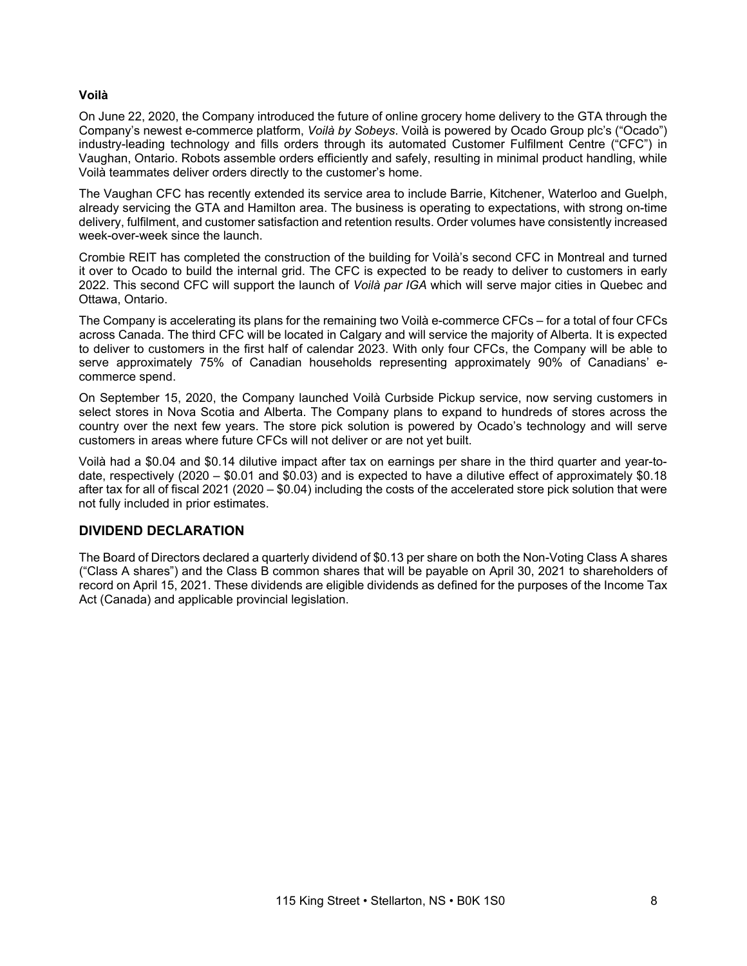#### **Voilà**

On June 22, 2020, the Company introduced the future of online grocery home delivery to the GTA through the Company's newest e-commerce platform, *Voilà by Sobeys*. Voilà is powered by Ocado Group plc's ("Ocado") industry-leading technology and fills orders through its automated Customer Fulfilment Centre ("CFC") in Vaughan, Ontario. Robots assemble orders efficiently and safely, resulting in minimal product handling, while Voilà teammates deliver orders directly to the customer's home.

The Vaughan CFC has recently extended its service area to include Barrie, Kitchener, Waterloo and Guelph, already servicing the GTA and Hamilton area. The business is operating to expectations, with strong on-time delivery, fulfilment, and customer satisfaction and retention results. Order volumes have consistently increased week-over-week since the launch.

Crombie REIT has completed the construction of the building for Voilà's second CFC in Montreal and turned it over to Ocado to build the internal grid. The CFC is expected to be ready to deliver to customers in early 2022. This second CFC will support the launch of *Voilà par IGA* which will serve major cities in Quebec and Ottawa, Ontario.

The Company is accelerating its plans for the remaining two Voilà e-commerce CFCs – for a total of four CFCs across Canada. The third CFC will be located in Calgary and will service the majority of Alberta. It is expected to deliver to customers in the first half of calendar 2023. With only four CFCs, the Company will be able to serve approximately 75% of Canadian households representing approximately 90% of Canadians' ecommerce spend.

On September 15, 2020, the Company launched Voilà Curbside Pickup service, now serving customers in select stores in Nova Scotia and Alberta. The Company plans to expand to hundreds of stores across the country over the next few years. The store pick solution is powered by Ocado's technology and will serve customers in areas where future CFCs will not deliver or are not yet built.

Voilà had a \$0.04 and \$0.14 dilutive impact after tax on earnings per share in the third quarter and year-todate, respectively (2020 – \$0.01 and \$0.03) and is expected to have a dilutive effect of approximately \$0.18 after tax for all of fiscal 2021 (2020 – \$0.04) including the costs of the accelerated store pick solution that were not fully included in prior estimates.

# **DIVIDEND DECLARATION**

The Board of Directors declared a quarterly dividend of \$0.13 per share on both the Non-Voting Class A shares ("Class A shares") and the Class B common shares that will be payable on April 30, 2021 to shareholders of record on April 15, 2021. These dividends are eligible dividends as defined for the purposes of the Income Tax Act (Canada) and applicable provincial legislation.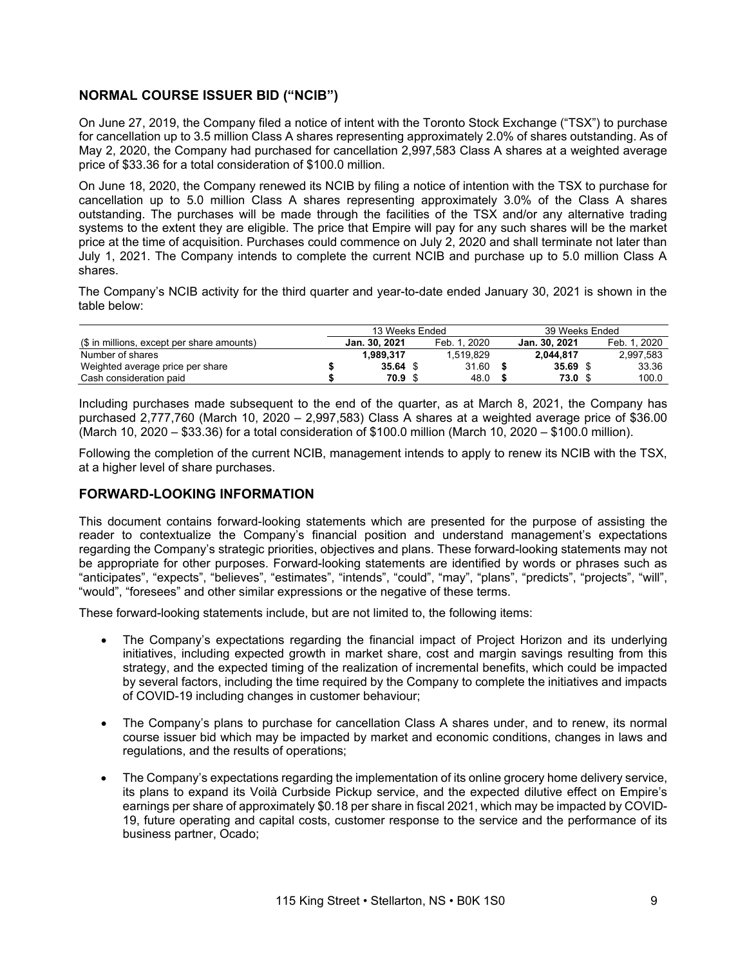# **NORMAL COURSE ISSUER BID ("NCIB")**

On June 27, 2019, the Company filed a notice of intent with the Toronto Stock Exchange ("TSX") to purchase for cancellation up to 3.5 million Class A shares representing approximately 2.0% of shares outstanding. As of May 2, 2020, the Company had purchased for cancellation 2,997,583 Class A shares at a weighted average price of \$33.36 for a total consideration of \$100.0 million.

On June 18, 2020, the Company renewed its NCIB by filing a notice of intention with the TSX to purchase for cancellation up to 5.0 million Class A shares representing approximately 3.0% of the Class A shares outstanding. The purchases will be made through the facilities of the TSX and/or any alternative trading systems to the extent they are eligible. The price that Empire will pay for any such shares will be the market price at the time of acquisition. Purchases could commence on July 2, 2020 and shall terminate not later than July 1, 2021. The Company intends to complete the current NCIB and purchase up to 5.0 million Class A shares.

The Company's NCIB activity for the third quarter and year-to-date ended January 30, 2021 is shown in the table below:

|                                            | 13 Weeks Ended |              | 39 Weeks Ended |  |              |
|--------------------------------------------|----------------|--------------|----------------|--|--------------|
| (\$ in millions, except per share amounts) | Jan. 30, 2021  | Feb. 1, 2020 | Jan. 30, 2021  |  | Feb. 1. 2020 |
| Number of shares                           | 1,989,317      | 1.519.829    | 2.044.817      |  | 2,997,583    |
| Weighted average price per share           | $35.64$ \$     | 31.60        | 35.69          |  | 33.36        |
| Cash consideration paid                    | 70.9 S         | 48.0         | 73.0 \$        |  | 100.0        |

Including purchases made subsequent to the end of the quarter, as at March 8, 2021, the Company has purchased 2,777,760 (March 10, 2020 – 2,997,583) Class A shares at a weighted average price of \$36.00 (March 10, 2020 – \$33.36) for a total consideration of \$100.0 million (March 10, 2020 – \$100.0 million).

Following the completion of the current NCIB, management intends to apply to renew its NCIB with the TSX, at a higher level of share purchases.

# **FORWARD-LOOKING INFORMATION**

This document contains forward-looking statements which are presented for the purpose of assisting the reader to contextualize the Company's financial position and understand management's expectations regarding the Company's strategic priorities, objectives and plans. These forward-looking statements may not be appropriate for other purposes. Forward-looking statements are identified by words or phrases such as "anticipates", "expects", "believes", "estimates", "intends", "could", "may", "plans", "predicts", "projects", "will", "would", "foresees" and other similar expressions or the negative of these terms.

These forward-looking statements include, but are not limited to, the following items:

- The Company's expectations regarding the financial impact of Project Horizon and its underlying initiatives, including expected growth in market share, cost and margin savings resulting from this strategy, and the expected timing of the realization of incremental benefits, which could be impacted by several factors, including the time required by the Company to complete the initiatives and impacts of COVID-19 including changes in customer behaviour;
- The Company's plans to purchase for cancellation Class A shares under, and to renew, its normal course issuer bid which may be impacted by market and economic conditions, changes in laws and regulations, and the results of operations;
- The Company's expectations regarding the implementation of its online grocery home delivery service, its plans to expand its Voilà Curbside Pickup service, and the expected dilutive effect on Empire's earnings per share of approximately \$0.18 per share in fiscal 2021, which may be impacted by COVID-19, future operating and capital costs, customer response to the service and the performance of its business partner, Ocado;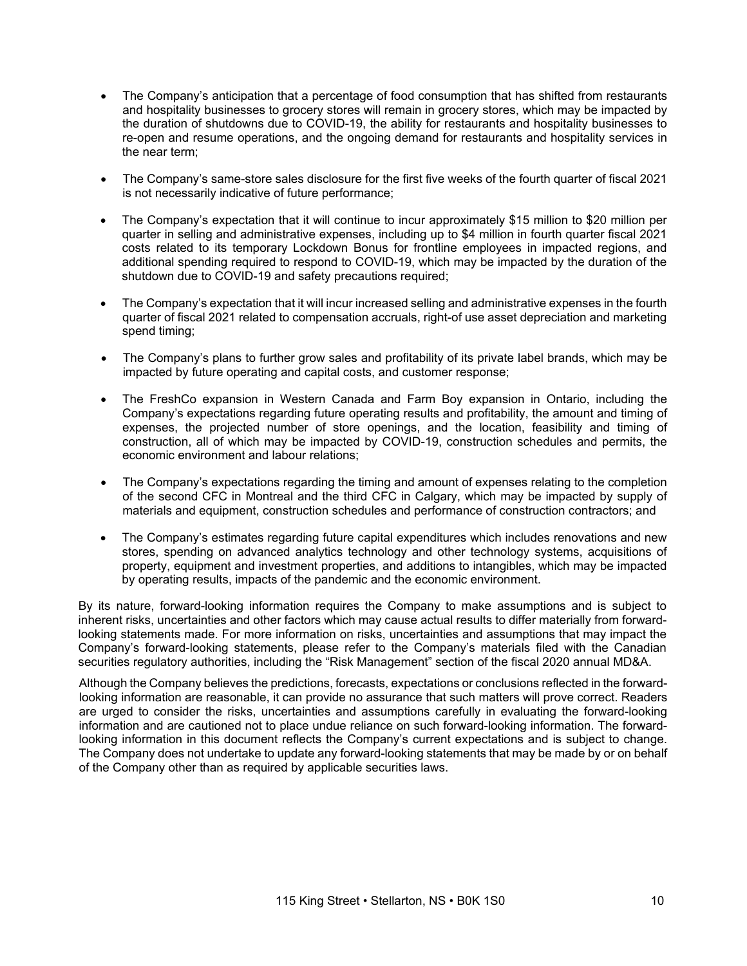- The Company's anticipation that a percentage of food consumption that has shifted from restaurants and hospitality businesses to grocery stores will remain in grocery stores, which may be impacted by the duration of shutdowns due to COVID-19, the ability for restaurants and hospitality businesses to re-open and resume operations, and the ongoing demand for restaurants and hospitality services in the near term;
- The Company's same-store sales disclosure for the first five weeks of the fourth quarter of fiscal 2021 is not necessarily indicative of future performance;
- The Company's expectation that it will continue to incur approximately \$15 million to \$20 million per quarter in selling and administrative expenses, including up to \$4 million in fourth quarter fiscal 2021 costs related to its temporary Lockdown Bonus for frontline employees in impacted regions, and additional spending required to respond to COVID-19, which may be impacted by the duration of the shutdown due to COVID-19 and safety precautions required;
- The Company's expectation that it will incur increased selling and administrative expenses in the fourth quarter of fiscal 2021 related to compensation accruals, right-of use asset depreciation and marketing spend timing;
- The Company's plans to further grow sales and profitability of its private label brands, which may be impacted by future operating and capital costs, and customer response;
- The FreshCo expansion in Western Canada and Farm Boy expansion in Ontario, including the Company's expectations regarding future operating results and profitability, the amount and timing of expenses, the projected number of store openings, and the location, feasibility and timing of construction, all of which may be impacted by COVID-19, construction schedules and permits, the economic environment and labour relations;
- The Company's expectations regarding the timing and amount of expenses relating to the completion of the second CFC in Montreal and the third CFC in Calgary, which may be impacted by supply of materials and equipment, construction schedules and performance of construction contractors; and
- The Company's estimates regarding future capital expenditures which includes renovations and new stores, spending on advanced analytics technology and other technology systems, acquisitions of property, equipment and investment properties, and additions to intangibles, which may be impacted by operating results, impacts of the pandemic and the economic environment.

By its nature, forward-looking information requires the Company to make assumptions and is subject to inherent risks, uncertainties and other factors which may cause actual results to differ materially from forwardlooking statements made. For more information on risks, uncertainties and assumptions that may impact the Company's forward-looking statements, please refer to the Company's materials filed with the Canadian securities regulatory authorities, including the "Risk Management" section of the fiscal 2020 annual MD&A.

Although the Company believes the predictions, forecasts, expectations or conclusions reflected in the forwardlooking information are reasonable, it can provide no assurance that such matters will prove correct. Readers are urged to consider the risks, uncertainties and assumptions carefully in evaluating the forward-looking information and are cautioned not to place undue reliance on such forward-looking information. The forwardlooking information in this document reflects the Company's current expectations and is subject to change. The Company does not undertake to update any forward-looking statements that may be made by or on behalf of the Company other than as required by applicable securities laws.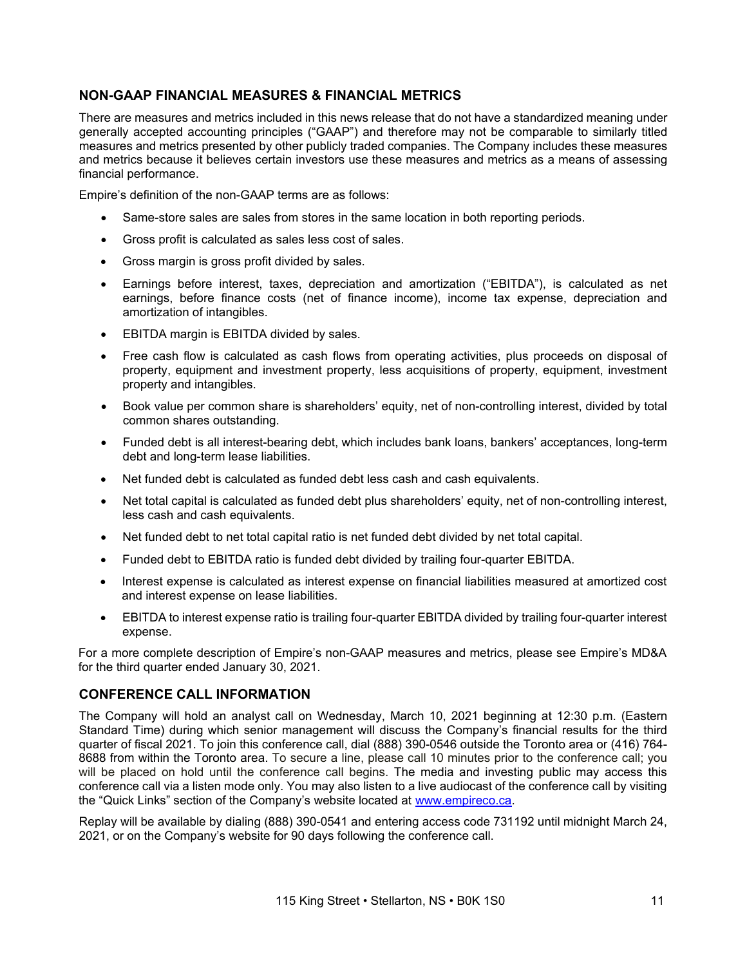# **NON-GAAP FINANCIAL MEASURES & FINANCIAL METRICS**

There are measures and metrics included in this news release that do not have a standardized meaning under generally accepted accounting principles ("GAAP") and therefore may not be comparable to similarly titled measures and metrics presented by other publicly traded companies. The Company includes these measures and metrics because it believes certain investors use these measures and metrics as a means of assessing financial performance.

Empire's definition of the non-GAAP terms are as follows:

- Same-store sales are sales from stores in the same location in both reporting periods.
- Gross profit is calculated as sales less cost of sales.
- Gross margin is gross profit divided by sales.
- Earnings before interest, taxes, depreciation and amortization ("EBITDA"), is calculated as net earnings, before finance costs (net of finance income), income tax expense, depreciation and amortization of intangibles.
- EBITDA margin is EBITDA divided by sales.
- Free cash flow is calculated as cash flows from operating activities, plus proceeds on disposal of property, equipment and investment property, less acquisitions of property, equipment, investment property and intangibles.
- Book value per common share is shareholders' equity, net of non-controlling interest, divided by total common shares outstanding.
- Funded debt is all interest-bearing debt, which includes bank loans, bankers' acceptances, long-term debt and long-term lease liabilities.
- Net funded debt is calculated as funded debt less cash and cash equivalents.
- Net total capital is calculated as funded debt plus shareholders' equity, net of non-controlling interest, less cash and cash equivalents.
- Net funded debt to net total capital ratio is net funded debt divided by net total capital.
- Funded debt to EBITDA ratio is funded debt divided by trailing four-quarter EBITDA.
- Interest expense is calculated as interest expense on financial liabilities measured at amortized cost and interest expense on lease liabilities.
- EBITDA to interest expense ratio is trailing four-quarter EBITDA divided by trailing four-quarter interest expense.

For a more complete description of Empire's non-GAAP measures and metrics, please see Empire's MD&A for the third quarter ended January 30, 2021.

# **CONFERENCE CALL INFORMATION**

The Company will hold an analyst call on Wednesday, March 10, 2021 beginning at 12:30 p.m. (Eastern Standard Time) during which senior management will discuss the Company's financial results for the third quarter of fiscal 2021. To join this conference call, dial (888) 390-0546 outside the Toronto area or (416) 764- 8688 from within the Toronto area. To secure a line, please call 10 minutes prior to the conference call; you will be placed on hold until the conference call begins. The media and investing public may access this conference call via a listen mode only. You may also listen to a live audiocast of the conference call by visiting the "Quick Links" section of the Company's website located at [www.empireco.ca.](http://www.empireco.ca/)

Replay will be available by dialing (888) 390-0541 and entering access code 731192 until midnight March 24, 2021, or on the Company's website for 90 days following the conference call.